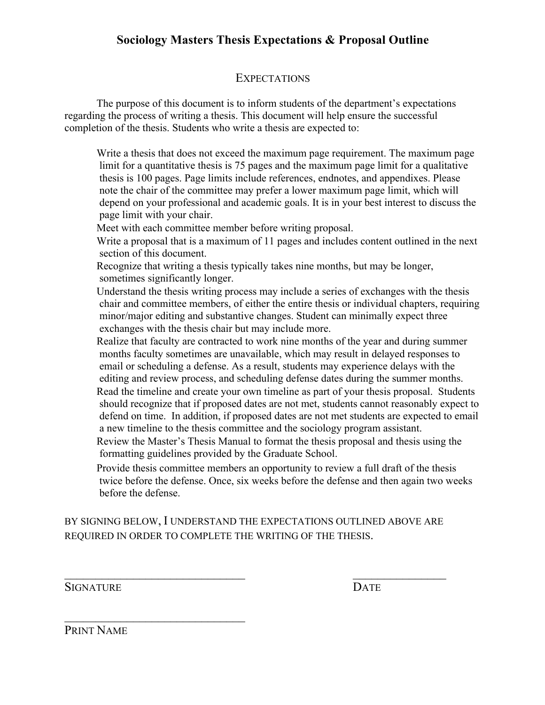## **Sociology Masters Thesis Expectations & Proposal Outline**

#### **EXPECTATIONS**

The purpose of this document is to inform students of the department's expectations regarding the process of writing a thesis. This document will help ensure the successful completion of the thesis. Students who write a thesis are expected to:

 Write a thesis that does not exceed the maximum page requirement. The maximum page limit for a quantitative thesis is 75 pages and the maximum page limit for a qualitative thesis is 100 pages. Page limits include references, endnotes, and appendixes. Please note the chair of the committee may prefer a lower maximum page limit, which will depend on your professional and academic goals. It is in your best interest to discuss the page limit with your chair.

Meet with each committee member before writing proposal.

 Write a proposal that is a maximum of 11 pages and includes content outlined in the next section of this document.

 Recognize that writing a thesis typically takes nine months, but may be longer, sometimes significantly longer.

 Understand the thesis writing process may include a series of exchanges with the thesis chair and committee members, of either the entire thesis or individual chapters, requiring minor/major editing and substantive changes. Student can minimally expect three exchanges with the thesis chair but may include more.

 Realize that faculty are contracted to work nine months of the year and during summer months faculty sometimes are unavailable, which may result in delayed responses to email or scheduling a defense. As a result, students may experience delays with the editing and review process, and scheduling defense dates during the summer months. Read the timeline and create your own timeline as part of your thesis proposal. Students should recognize that if proposed dates are not met, students cannot reasonably expect to defend on time. In addition, if proposed dates are not met students are expected to email a new timeline to the thesis committee and the sociology program assistant.

 Review the Master's Thesis Manual to format the thesis proposal and thesis using the formatting guidelines provided by the Graduate School.

 Provide thesis committee members an opportunity to review a full draft of the thesis twice before the defense. Once, six weeks before the defense and then again two weeks before the defense.

BY SIGNING BELOW, I UNDERSTAND THE EXPECTATIONS OUTLINED ABOVE ARE REQUIRED IN ORDER TO COMPLETE THE WRITING OF THE THESIS.

 $\mathcal{L}_\text{max}$  , and the contract of the contract of the contract of the contract of the contract of the contract of the contract of the contract of the contract of the contract of the contract of the contract of the contr

SIGNATURE DATE

PRINT NAME

 $\mathcal{L}_\text{max}$  , where  $\mathcal{L}_\text{max}$  , we have the set of  $\mathcal{L}_\text{max}$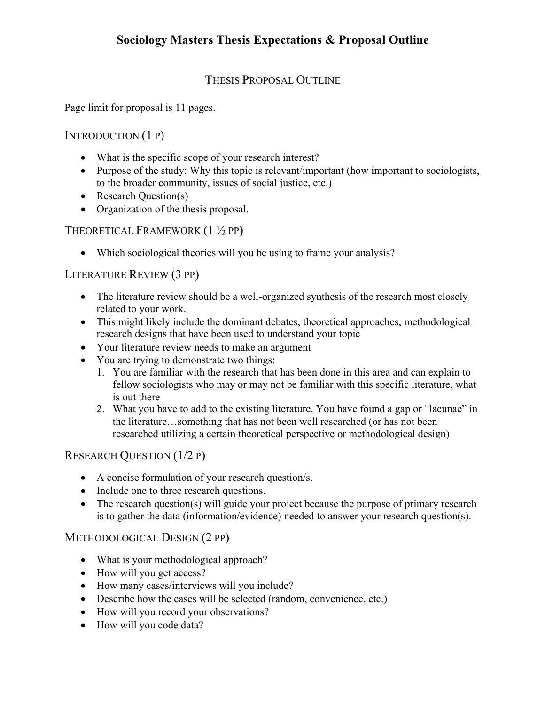## **Sociology Masters Thesis Expectations & Proposal Outline**

### THESIS PROPOSAL OUTLINE

Page limit for proposal is 11 pages.

INTRODUCTION (1 P)

- What is the specific scope of your research interest?
- Purpose of the study: Why this topic is relevant/important (how important to sociologists, to the broader community, issues of social justice, etc.)
- Research Question(s)
- Organization of the thesis proposal.

THEORETICAL FRAMEWORK (1 ½ PP)

• Which sociological theories will you be using to frame your analysis?

#### LITERATURE REVIEW (3 PP)

- The literature review should be a well-organized synthesis of the research most closely related to your work.
- This might likely include the dominant debates, theoretical approaches, methodological research designs that have been used to understand your topic
- Your literature review needs to make an argument
- You are trying to demonstrate two things:
	- 1. You are familiar with the research that has been done in this area and can explain to fellow sociologists who may or may not be familiar with this specific literature, what is out there
	- 2. What you have to add to the existing literature. You have found a gap or "lacunae" in the literature…something that has not been well researched (or has not been researched utilizing a certain theoretical perspective or methodological design)

#### RESEARCH QUESTION (1/2 P)

- A concise formulation of your research question/s.
- Include one to three research questions.
- The research question(s) will guide your project because the purpose of primary research is to gather the data (information/evidence) needed to answer your research question(s).

#### METHODOLOGICAL DESIGN (2 PP)

- What is your methodological approach?
- How will you get access?
- How many cases/interviews will you include?
- Describe how the cases will be selected (random, convenience, etc.)
- How will you record your observations?
- How will you code data?